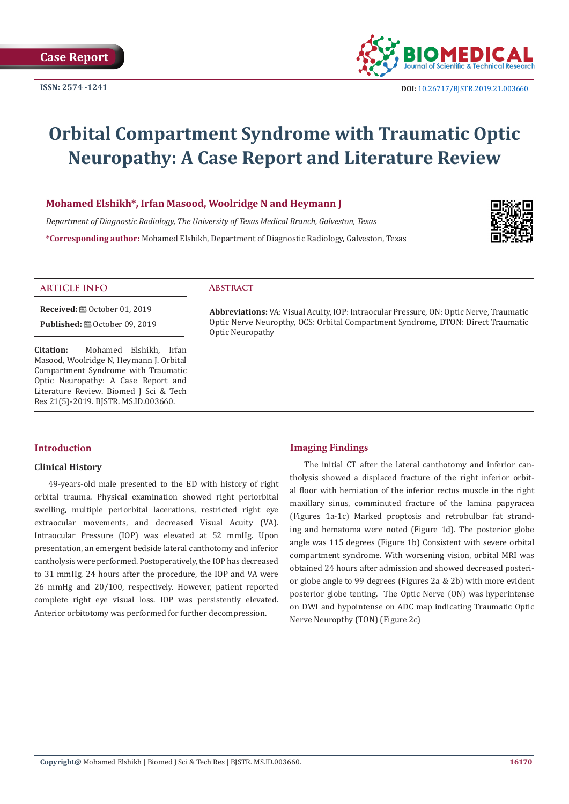

# **Orbital Compartment Syndrome with Traumatic Optic Neuropathy: A Case Report and Literature Review**

# **Mohamed Elshikh\*, Irfan Masood, Woolridge N and Heymann J**

*Department of Diagnostic Radiology, The University of Texas Medical Branch, Galveston, Texas* **\*Corresponding author:** Mohamed Elshikh, Department of Diagnostic Radiology, Galveston, Texas



#### **ARTICLE INFO Abstract**

**Received:** ■ October 01, 2019

**Published:**  $\blacksquare$  October 09, 2019

**Citation:** Mohamed Elshikh, Irfan Masood, Woolridge N, Heymann J. Orbital Compartment Syndrome with Traumatic Optic Neuropathy: A Case Report and Literature Review. Biomed J Sci & Tech Res 21(5)-2019. BJSTR. MS.ID.003660.

**Abbreviations:** VA: Visual Acuity, IOP: Intraocular Pressure, ON: Optic Nerve, Traumatic Optic Nerve Neuropthy, OCS: Orbital Compartment Syndrome, DTON: Direct Traumatic Optic Neuropathy

# **Introduction**

## **Clinical History**

49-years-old male presented to the ED with history of right orbital trauma. Physical examination showed right periorbital swelling, multiple periorbital lacerations, restricted right eye extraocular movements, and decreased Visual Acuity (VA). Intraocular Pressure (IOP) was elevated at 52 mmHg. Upon presentation, an emergent bedside lateral canthotomy and inferior cantholysis were performed. Postoperatively, the IOP has decreased to 31 mmHg. 24 hours after the procedure, the IOP and VA were 26 mmHg and 20/100, respectively. However, patient reported complete right eye visual loss. IOP was persistently elevated. Anterior orbitotomy was performed for further decompression.

## **Imaging Findings**

The initial CT after the lateral canthotomy and inferior cantholysis showed a displaced fracture of the right inferior orbital floor with herniation of the inferior rectus muscle in the right maxillary sinus, comminuted fracture of the lamina papyracea (Figures 1a-1c) Marked proptosis and retrobulbar fat stranding and hematoma were noted (Figure 1d). The posterior globe angle was 115 degrees (Figure 1b) Consistent with severe orbital compartment syndrome. With worsening vision, orbital MRI was obtained 24 hours after admission and showed decreased posterior globe angle to 99 degrees (Figures 2a & 2b) with more evident posterior globe tenting. The Optic Nerve (ON) was hyperintense on DWI and hypointense on ADC map indicating Traumatic Optic Nerve Neuropthy (TON) (Figure 2c)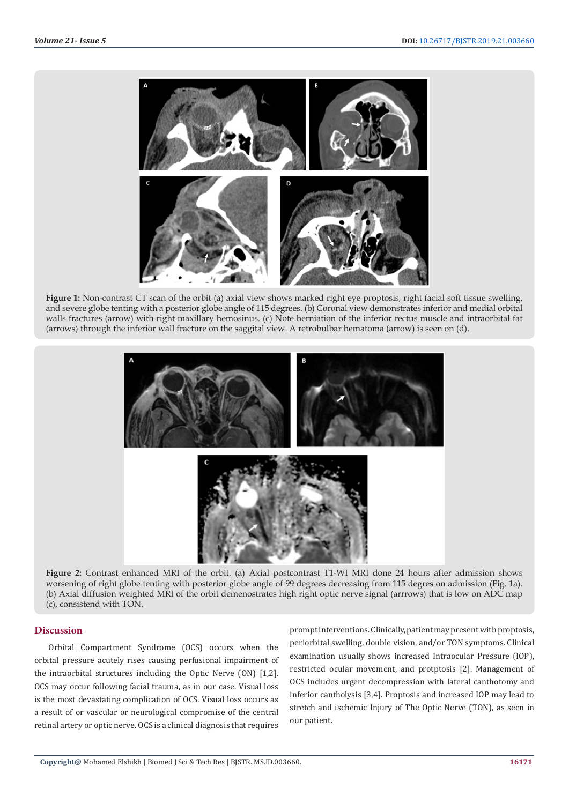

**Figure 1:** Non-contrast CT scan of the orbit (a) axial view shows marked right eye proptosis, right facial soft tissue swelling, and severe globe tenting with a posterior globe angle of 115 degrees. (b) Coronal view demonstrates inferior and medial orbital walls fractures (arrow) with right maxillary hemosinus. (c) Note herniation of the inferior rectus muscle and intraorbital fat (arrows) through the inferior wall fracture on the saggital view. A retrobulbar hematoma (arrow) is seen on (d).



**Figure 2:** Contrast enhanced MRI of the orbit. (a) Axial postcontrast T1-WI MRI done 24 hours after admission shows worsening of right globe tenting with posterior globe angle of 99 degrees decreasing from 115 degres on admission (Fig. 1a). (b) Axial diffusion weighted MRI of the orbit demenostrates high right optic nerve signal (arrrows) that is low on ADC map (c), consistend with TON.

## **Discussion**

Orbital Compartment Syndrome (OCS) occurs when the orbital pressure acutely rises causing perfusional impairment of the intraorbital structures including the Optic Nerve (ON) [1,2]. OCS may occur following facial trauma, as in our case. Visual loss is the most devastating complication of OCS. Visual loss occurs as a result of or vascular or neurological compromise of the central retinal artery or optic nerve. OCS is a clinical diagnosis that requires

prompt interventions. Clinically, patient may present with proptosis, periorbital swelling, double vision, and/or TON symptoms. Clinical examination usually shows increased Intraocular Pressure (IOP), restricted ocular movement, and protptosis [2]. Management of OCS includes urgent decompression with lateral canthotomy and inferior cantholysis [3,4]. Proptosis and increased IOP may lead to stretch and ischemic Injury of The Optic Nerve (TON), as seen in our patient.